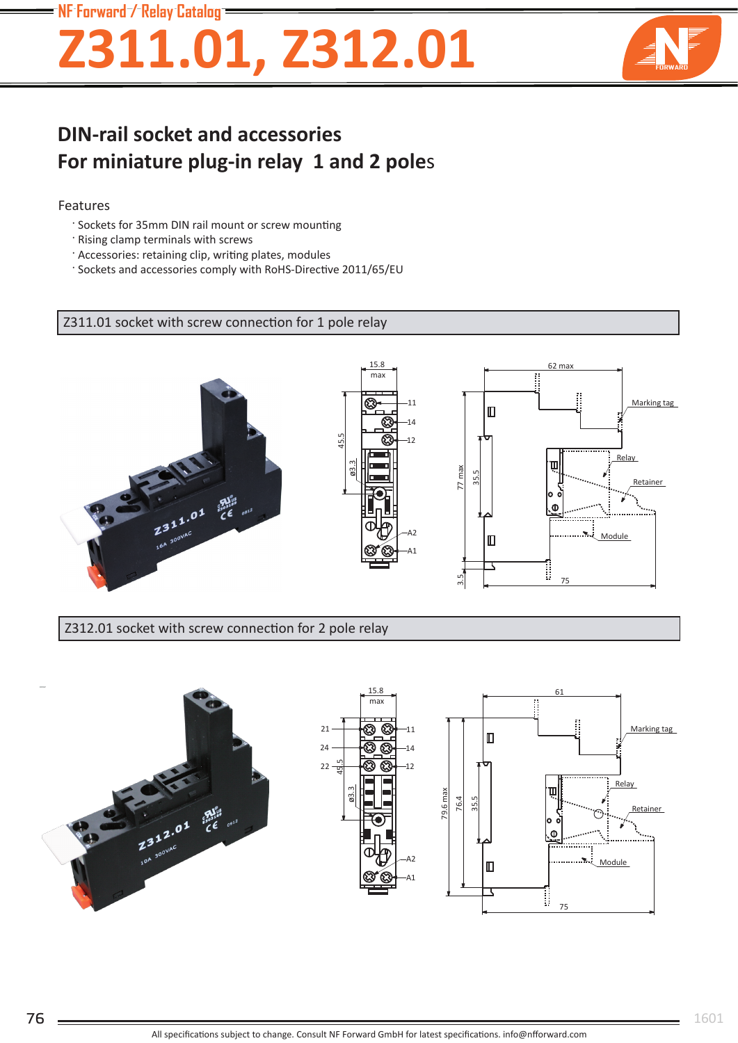### NF Forward / Relay Catalog

# Z311.01, Z312.01



## **DIN-rail socket and accessories** For miniature plug-in relay 1 and 2 poles

#### Features

- ' Sockets for 35mm DIN rail mount or screw mounting
- · Rising clamp terminals with screws
- ' Accessories: retaining clip, writing plates, modules
- ' Sockets and accessories comply with RoHS-Directive 2011/65/EU

Z311.01 socket with screw connection for 1 pole relay



Z312.01 socket with screw connection for 2 pole relay